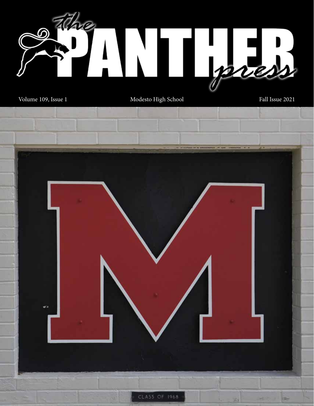

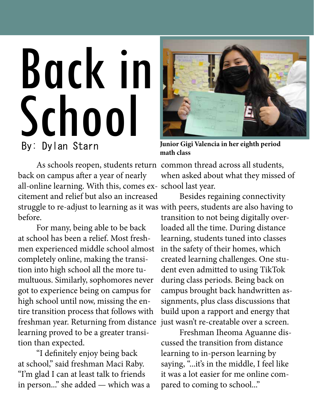# Back in By: Dylan Starn Junior Gig<br>math class School

back on campus after a year of nearly all-online learning. With this, comes ex-school last year. citement and relief but also an increased struggle to re-adjust to learning as it was with peers, students are also having to before.

For many, being able to be back at school has been a relief. Most freshmen experienced middle school almost completely online, making the transition into high school all the more tumultuous. Similarly, sophomores never got to experience being on campus for high school until now, missing the entire transition process that follows with freshman year. Returning from distance learning proved to be a greater transition than expected.

"I definitely enjoy being back at school," said freshman Maci Raby. "I'm glad I can at least talk to friends in person..." she added — which was a



Junior Gigi Valencia in her eighth period

As schools reopen, students return common thread across all students, when asked about what they missed of

> Besides regaining connectivity transition to not being digitally overloaded all the time. During distance learning, students tuned into classes in the safety of their homes, which created learning challenges. One student even admitted to using TikTok during class periods. Being back on campus brought back handwritten assignments, plus class discussions that build upon a rapport and energy that just wasn't re-creatable over a screen.

Freshman Iheoma Aguanne discussed the transition from distance learning to in-person learning by saying, "...it's in the middle, I feel like it was a lot easier for me online compared to coming to school..."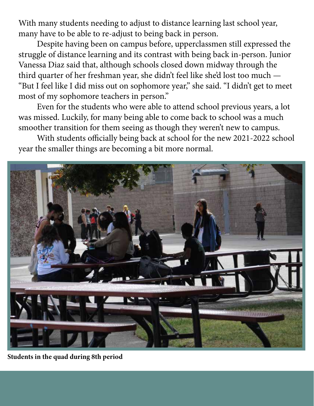With many students needing to adjust to distance learning last school year, many have to be able to re-adjust to being back in person.

Despite having been on campus before, upperclassmen still expressed the struggle of distance learning and its contrast with being back in-person. Junior Vanessa Diaz said that, although schools closed down midway through the third quarter of her freshman year, she didn't feel like she'd lost too much — "But I feel like I did miss out on sophomore year," she said. "I didn't get to meet most of my sophomore teachers in person."

Even for the students who were able to attend school previous years, a lot was missed. Luckily, for many being able to come back to school was a much smoother transition for them seeing as though they weren't new to campus.

With students officially being back at school for the new 2021-2022 school year the smaller things are becoming a bit more normal.



Students in the quad during 8th period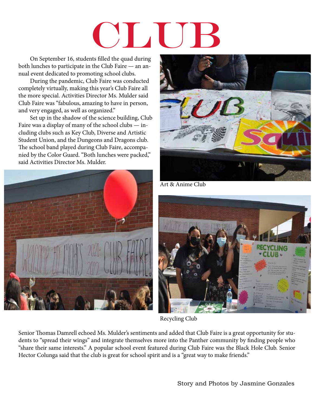# $\Box$

On September 16, students filled the quad during both lunches to participate in the Club Faire — an annual event dedicated to promoting school clubs.

During the pandemic, Club Faire was conducted completely virtually, making this year's Club Faire all the more special. Activities Director Ms. Mulder said Club Faire was "fabulous, amazing to have in person, and very engaged, as well as organized."

Set up in the shadow of the science building, Club Faire was a display of many of the school clubs — including clubs such as Key Club, Diverse and Artistic Student Union, and the Dungeons and Dragons club. The school band played during Club Faire, accompanied by the Color Guard. "Both lunches were packed," said Activities Director Ms. Mulder.





Art & Anime Club



Recycling Club

Senior Thomas Damrell echoed Ms. Mulder's sentiments and added that Club Faire is a great opportunity for students to "spread their wings" and integrate themselves more into the Panther community by finding people who "share their same interests." A popular school event featured during Club Faire was the Black Hole Club. Senior Hector Colunga said that the club is great for school spirit and is a "great way to make friends."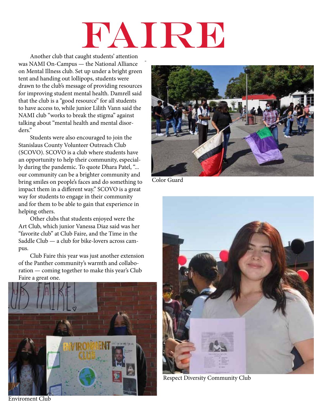# FAIRE

Another club that caught students' attention was NAMI On-Campus — the National Alliance on Mental Illness club. Set up under a bright green tent and handing out lollipops, students were drawn to the club's message of providing resources for improving student mental health. Damrell said that the club is a "good resource" for all students to have access to, while junior Lilith Vann said the NAMI club "works to break the stigma" against talking about "mental health and mental disorders."

Students were also encouraged to join the Stanislaus County Volunteer Outreach Club (SCOVO). SCOVO is a club where students have an opportunity to help their community, especially during the pandemic. To quote Dhara Patel, "... our community can be a brighter community and bring smiles on people's faces and do something to impact them in a different way." SCOVO is a great way for students to engage in their community and for them to be able to gain that experience in helping others.

Other clubs that students enjoyed were the Art Club, which junior Vanessa Diaz said was her "favorite club" at Club Faire, and the Time in the Saddle Club — a club for bike-lovers across campus.

Club Faire this year was just another extension of the Panther community's warmth and collaboration — coming together to make this year's Club Faire a great one.







Color Guard



Respect Diversity Community Club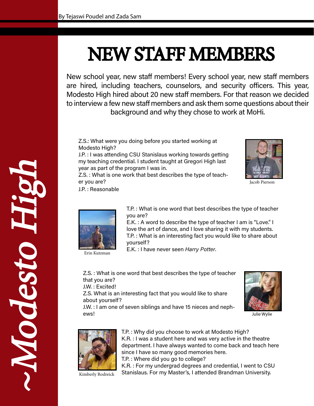### NEW STAFF MEMBERS

New school year, new staff members! Every school year, new staff members are hired, including teachers, counselors, and security officers. This year, Modesto High hired about 20 new staff members. For that reason we decided to interview a few new staff members and ask them some questions about their background and why they chose to work at MoHi.

Z.S.: What were you doing before you started working at Modesto High?

J.P. : I was attending CSU Stanislaus working towards getting my teaching credential. I student taught at Gregori High last year as part of the program I was in.

Z.S. : What is one work that best describes the type of teacher you are?

J.P. : Reasonable



Jacob Pierson



Erin Kutzman

~Modesto High

DiSepokr

**HEL** 

T.P. : What is one word that best describes the type of teacher you are?

E.K. : A word to describe the type of teacher I am is "Love." I love the art of dance, and I love sharing it with my students. T.P. : What is an interesting fact you would like to share about yourself?

E.K. : I have never seen Harry Potter.

Z.S. : What is one word that best describes the type of teacher that you are?

J.W. : Excited!

Z.S. What is an interesting fact that you would like to share about yourself?

J.W. : I am one of seven siblings and have 15 nieces and nephews!



Julie Wylie



T.P. : Why did you choose to work at Modesto High? K.R. : I was a student here and was very active in the theatre department. I have always wanted to come back and teach here since I have so many good memories here. T.P. : Where did you go to college?

K.R. : For my undergrad degrees and credential, I went to CSU

Kimberly Rodreick

Stanislaus. For my Master's, I attended Brandman University.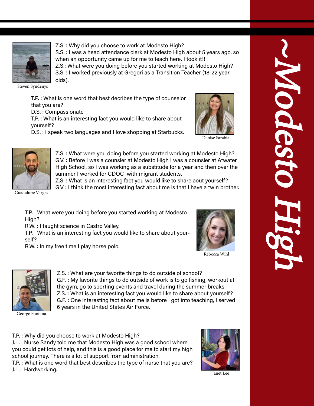

Z.S. : Why did you choose to work at Modesto High? S.S. : I was a head attendance clerk at Modesto High about 5 years ago, so when an opportunity came up for me to teach here, I took it!! Z.S.: What were you doing before you started working at Modesto High? S.S. : I worked previously at Gregori as a Transition Teacher (18-22 year olds).

Steven Syndenys

T.P. : What is one word that best decribes the type of counselor that you are?

D.S. : Compassionate

T.P. : What is an interesting fact you would like to share about yourself?





Denise Sarabia



Z.S. : What were you doing before you started working at Modesto High? G.V. : Before I was a counsler at Modesto High I was a counsler at Atwater High School, so I was working as a substitude for a year and then over the summer I worked for CDOC with migrant students.

Z.S. : What is an interesting fact you would like to share aout yourself?

G.V : I think the most interesting fact about me is that I have a twin brother.

Guadalupe Vargas

T.P. : What were you doing before you started working at Modesto High?

R.W. : I taught science in Castro Valley.

T.P. : What is an interesting fact you would like to share about yourself?

R.W. : In my free time I play horse polo.



Rebecca Wihl



the gym, go to sporting events and travel during the summer breaks. Z.S. : What is an interesting fact you would like to share about yourself? G.F. : One interesting fact about me is before I got into teaching, I served 6 years in the United States Air Force. George Fontana

Z.S. : What are your favorite things to do outside of school?

G.F. : My favorite things to do outside of work is to go fishing, workout at

T.P. : Why did you choose to work at Modesto High?

J.L. : Nurse Sandy told me that Modesto High was a good school where you could get lots of help, and this is a good place for me to start my high school journey. There is a lot of support from administration.

T.P. : What is one word that best describes the type of nurse that you are? J.L. : Hardworking.



Janet Lee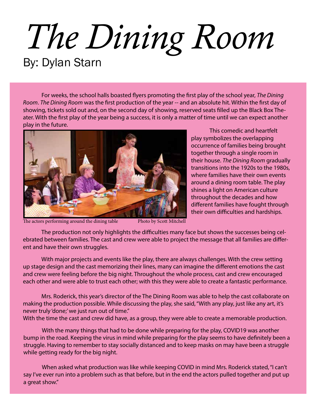## *The Dining Room* By: Dylan Starn

For weeks, the school halls boasted flyers promoting the first play of the school year, *The Dining Room*. *The Dining Room* was the first production of the year -- and an absolute hit. Within the first day of showing, tickets sold out and, on the second day of showing, reserved seats filled up the Black Box Theater. With the first play of the year being a success, it is only a matter of time until we can expect another play in the future.

This comedic and heartfelt

play symbolizes the overlapping occurrence of families being brought together through a single room in their house. *The Dining Room* gradually transitions into the 1920s to the 1980s, where families have their own events around a dining room table. The play shines a light on American culture throughout the decades and how different families have fought through their own difficulties and hardships.



The actors performing around the dining table Photo by Scott Mitchell

The production not only highlights the difficulties many face but shows the successes being celebrated between families. The cast and crew were able to project the message that all families are different and have their own struggles.

With major projects and events like the play, there are always challenges. With the crew setting up stage design and the cast memorizing their lines, many can imagine the different emotions the cast and crew were feeling before the big night. Throughout the whole process, cast and crew encouraged each other and were able to trust each other; with this they were able to create a fantastic performance.

Mrs. Roderick, this year's director of the The Dining Room was able to help the cast collaborate on making the production possible. While discussing the play, she said, "With any play, just like any art, it's never truly 'done;' we just run out of time."

With the time the cast and crew did have, as a group, they were able to create a memorable production.

With the many things that had to be done while preparing for the play, COVID19 was another bump in the road. Keeping the virus in mind while preparing for the play seems to have definitely been a struggle. Having to remember to stay socially distanced and to keep masks on may have been a struggle while getting ready for the big night.

When asked what production was like while keeping COVID in mind Mrs. Roderick stated, "I can't say I've ever run into a problem such as that before, but in the end the actors pulled together and put up a great show."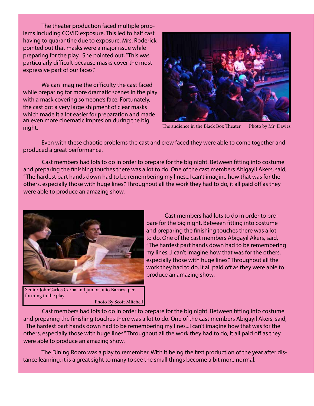The theater production faced multiple problems including COVID exposure. This led to half cast having to quarantine due to exposure. Mrs. Roderick pointed out that masks were a major issue while preparing for the play. She pointed out, "This was particularly difficult because masks cover the most expressive part of our faces."

We can imagine the difficulty the cast faced while preparing for more dramatic scenes in the play with a mask covering someone's face. Fortunately, the cast got a very large shipment of clear masks which made it a lot easier for preparation and made an even more cinematic impresion during the big night.



The audience in the Black Box Theater Photo by Mr. Davies

Even with these chaotic problems the cast and crew faced they were able to come together and produced a great performance.

Cast members had lots to do in order to prepare for the big night. Between fitting into costume and preparing the finishing touches there was a lot to do. One of the cast members Abigayil Akers, said, "The hardest part hands down had to be remembering my lines...I can't imagine how that was for the others, especially those with huge lines." Throughout all the work they had to do, it all paid off as they were able to produce an amazing show.



Senior JohnCarlos Cerna and junior Julio Barraza performing in the play Photo By Scott Mitchell

Cast members had lots to do in order to prepare for the big night. Between fitting into costume and preparing the finishing touches there was a lot to do. One of the cast members Abigayil Akers, said, "The hardest part hands down had to be remembering my lines...I can't imagine how that was for the others, especially those with huge lines." Throughout all the work they had to do, it all paid off as they were able to produce an amazing show.

Cast members had lots to do in order to prepare for the big night. Between fitting into costume and preparing the finishing touches there was a lot to do. One of the cast members Abigayil Akers, said, "The hardest part hands down had to be remembering my lines...I can't imagine how that was for the others, especially those with huge lines." Throughout all the work they had to do, it all paid off as they were able to produce an amazing show.

The Dining Room was a play to remember. With it being the first production of the year after distance learning, it is a great sight to many to see the small things become a bit more normal.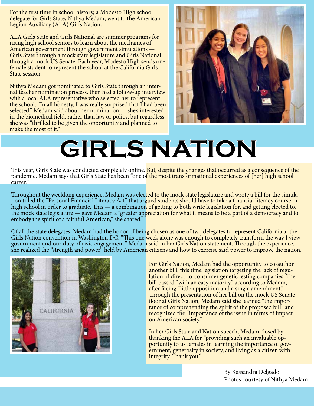For the first time in school history, a Modesto High school delegate for Girls State, Nithya Medam, went to the American Legion Auxiliary (ALA) Girls Nation.

ALA Girls State and Girls National are summer programs for rising high school seniors to learn about the mechanics of American government through government simulations — Girls State through a mock state legislature and Girls National through a mock US Senate. Each year, Modesto High sends one female student to represent the school at the California Girls State session.

Nithya Medam got nominated to Girls State through an internal teacher nomination process, then had a follow-up interview with a local ALA representative who selected her to represent the school. "In all honesty, I was really surprised that I had been selected," Medam said about her nomination — she's interested in the biomedical field, rather than law or policy, but regardless, she was "thrilled to be given the opportunity and planned to make the most of it."



## **GIRLS NATION**

This year, Girls State was conducted completely online. But, despite the changes that occurred as a consequence of the pandemic, Medam says that Girls State has been "one of the most transformational experiences of [her] high school career."

Throughout the weeklong experience, Medam was elected to the mock state legislature and wrote a bill for the simulation titled the "Personal Financial Literacy Act" that argued students should have to take a financial lite high school in order to graduate. This — a combination of getting to both write legislation for, and getting elected to, the mock state legislature — gave Medam a "greater appreciation for what it means to be a part of a democracy and to embody the spirit of a faithful American," she shared.

Of all the state delegates, Medam had the honor of being chosen as one of two delegates to represent California at the Girls Nation convention in Washington DC. "This one week alone was enough to completely transform the way I view government and our duty of civic engagement," Medam said in her Girls Nation statement. Through the experience, she realized the "strength and power" held by American citizens and how to exercise said power to improve the nation.



For Girls Nation, Medam had the opportunity to co-author another bill, this time legislation targeting the lack of regulation of direct-to-consumer genetic testing companies. The bill passed "with an easy majority," according to Medam, after facing "little opposition and a single amendment." Through the presentation of her bill on the mock US Senate<br>floor at Girls Nation, Medam said she learned "the importance of comprehending the spirit of the proposed bill" and recognized the "importance of the issue in terms of impact on American society."

In her Girls State and Nation speech, Medam closed by thanking the ALA for "providing such an invaluable opportunity to us females in learning the importance of government, generosity in society, and living as a citizen with integrity. Thank you."

> By Kassandra Delgado Photos courtesy of Nithya Medam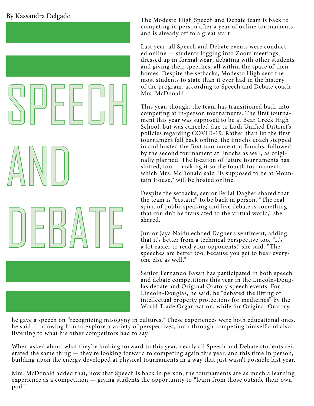#### By Kassandra Delgado

AND

SPEECH

DEBATE

The Modesto High Speech and Debate team is back to competing in person after a year of online tournaments and is already off to a great start.

Last year, all Speech and Debate events were conducted online — students logging into Zoom meetings, dressed up in formal wear; debating with other students and giving their speeches, all within the space of their homes. Despite the setbacks, Modesto High sent the most students to state than it ever had in the history of the program, according to Speech and Debate coach Mrs. McDonald.

This year, though, the team has transitioned back into competing at in-person tournaments. The first tournament this year was supposed to be at Bear Creek High School, but was canceled due to Lodi Unified District's policies regarding COVID-19. Rather than let the first tournament fall back online, the Enochs coach stepped in and hosted the first tournament at Enochs, followed by the second tournament at Enochs as well, as originally planned. The location of future tournaments has shifted, too — making it so the fourth tournament, which Mrs. McDonald said "is supposed to be at Mountain House," will be hosted online.

Despite the setbacks, senior Ferial Dagher shared that the team is "ecstatic" to be back in person. "The real spirit of public speaking and live debate is something that couldn't be translated to the virtual world," she shared.

Junior Jaya Naidu echoed Dagher's sentiment, adding that it's better from a technical perspective too. "It's a lot easier to read your opponents," she said. "The speeches are better too, because you get to hear everyone else as well."

Senior Fernando Bazan has participated in both speech and debate competitions this year in the Lincoln-Douglas debate and Original Oratory speech events. For Lincoln-Douglas, he said, he "debated the lifting of intellectual property protections for medicines" by the World Trade Organization; while for Original Oratory,

he gave a speech on "recognizing misogyny in cultures." These experiences were both educational ones, he said — allowing him to explore a variety of perspectives, both through competing himself and also listening to what his other competitors had to say.

When asked about what they're looking forward to this year, nearly all Speech and Debate students reiterated the same thing — they're looking forward to competing again this year, and this time in person, building upon the energy developed at physical tournaments in a way that just wasn't possible last year.

Mrs. McDonald added that, now that Speech is back in person, the tournaments are as much a learning experience as a competition — giving students the opportunity to "learn from those outside their own pod."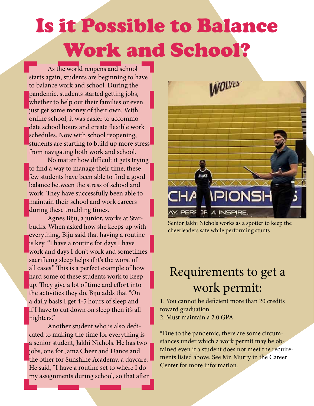### Is it Possible to Balance Work and School?

As the world reopens and school starts again, students are beginning to have to balance work and school. During the pandemic, students started getting jobs, whether to help out their families or even just get some money of their own. With online school, it was easier to accommodate school hours and create flexible work schedules. Now with school reopening, students are starting to build up more stress from navigating both work and school.

No matter how difficult it gets trying to find a way to manage their time, these few students have been able to find a good balance between the stress of school and work. They have successfully been able to maintain their school and work careers during these troubling times.

Agnes Biju, a junior, works at Starbucks. When asked how she keeps up with everything, Biju said that having a routine is key. "I have a routine for days I have work and days I don't work and sometimes sacrificing sleep helps if it's the worst of all cases." This is a perfect example of how hard some of these students work to keep up. They give a lot of time and effort into the activities they do. Biju adds that "On a daily basis I get 4-5 hours of sleep and if I have to cut down on sleep then it's all nighters."

Another student who is also dedicated to making the time for everything is a senior student, Jakhi Nichols. He has two jobs, one for Jamz Cheer and Dance and the other for Sunshine Academy, a daycare. He said, "I have a routine set to where I do my assignments during school, so that after



Senior Jakhi Nichols works as a spotter to keep the cheerleaders safe while performing stunts

#### Requirements to get a work permit:

1. You cannot be deficient more than 20 credits toward graduation.

2. Must maintain a 2.0 GPA.

\*Due to the pandemic, there are some circumstances under which a work permit may be obtained even if a student does not meet the requirements listed above. See Mr. Murry in the Career Center for more information.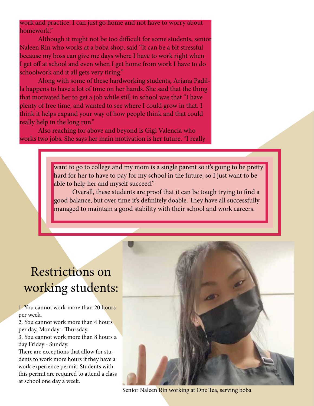#### work and practice, I can just go home and not have to worry about homework."

Although it might not be too difficult for some students, senior Naleen Rin who works at a boba shop, said "It can be a bit stressful because my boss can give me days where I have to work right when I get off at school and even when I get home from work I have to do schoolwork and it all gets very tiring."

Along with some of these hardworking students, Ariana Padilla happens to have a lot of time on her hands. She said that the thing that motivated her to get a job while still in school was that "I have plenty of free time, and wanted to see where I could grow in that. I think it helps expand your way of how people think and that could really help in the long run."

Also reaching for above and beyond is Gigi Valencia who works two jobs. She says her main motivation is her future. "I really

> want to go to college and my mom is a single parent so it's going to be pretty hard for her to have to pay for my school in the future, so I just want to be able to help her and myself succeed."

Overall, these students are proof that it can be tough trying to find a good balance, but over time it's definitely doable. They have all successfully managed to maintain a good stability with their school and work careers.

#### Restrictions on working students:

1. You cannot work more than 20 hours per week.

2. You cannot work more than 4 hours per day, Monday - Thursday.

3. You cannot work more than 8 hours a day Friday - Sunday.

There are exceptions that allow for students to work more hours if they have a work experience permit. Students with this permit are required to attend a class at school one day a week.



Senior Naleen Rin working at One Tea, serving boba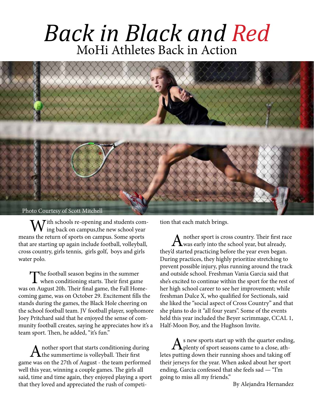#### *Back in Black and Red* MoHi Athletes Back in Action



With schools re-opening and students com-<br>ing back on campus,the new school year means the return of sports on campus. Some sports that are starting up again include football, volleyball, cross country, girls tennis, girls golf, boys and girls water polo.

The football season begins in the summer<br>when conditioning starts. Their first game was on August 20h. Their final game, the Fall Homecoming game, was on October 29. Excitement fills the stands during the games, the Black Hole cheering on the school football team. JV football player, sophomore Joey Pritchard said that he enjoyed the sense of community football creates, saying he appreciates how it's a team sport. Then, he added, "it's fun."

A nother sport that starts conditioning during<br>the summertime is volleyball. Their first game was on the 27th of August - the team performed well this year, winning a couple games. The girls all said, time and time again, they enjoyed playing a sport that they loved and appreciated the rush of competition that each match brings.

A nother sport is cross country. Their first race was early into the school year, but already, they'd started practicing before the year even began. During practices, they highly prioritize stretching to prevent possible injury, plus running around the track and outside school. Freshman Vania Garcia said that she's excited to continue within the sport for the rest of her high school career to see her improvement; while freshman Dulce X, who qualified for Sectionals, said she liked the "social aspect of Cross Country" and that she plans to do it "all four years". Some of the events held this year included the Beyer scrimmage, CCAL 1, Half-Moon Boy, and the Hughson Invite.

 $A<sub>s</sub>$  new sports start up with the quarter ending,<br>plenty of sport seasons came to a close, athletes putting down their running shoes and taking off their jerseys for the year. When asked about her sport ending, Garcia confessed that she feels sad — "I'm going to miss all my friends."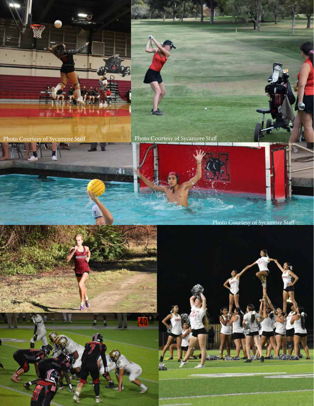